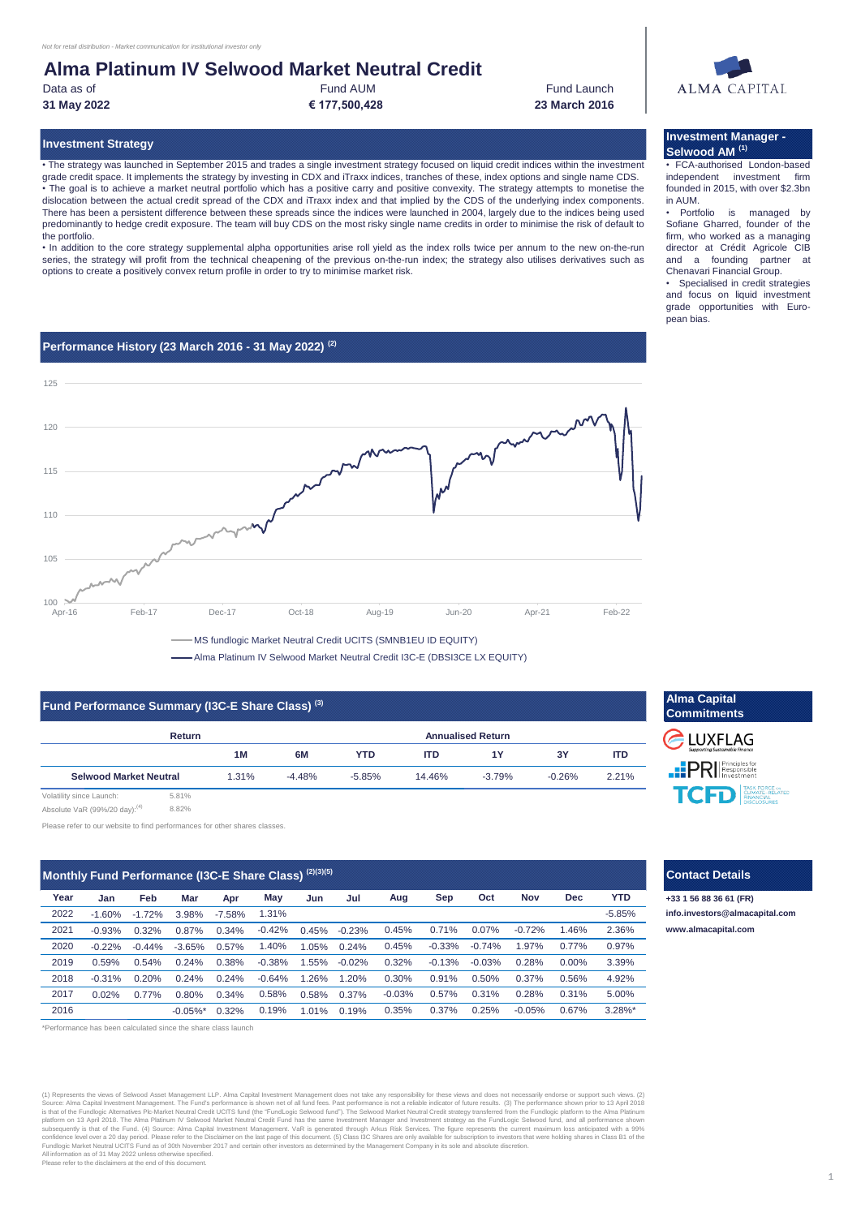# **Alma Platinum IV Selwood Market Neutral Credit**

Data as of

Fund AUM **31 May 2022 € 177,500,428**

Fund Launch **23 March 2016**

• The strategy was launched in September 2015 and trades a single investment strategy focused on liquid credit indices within the investment grade credit space. It implements the strategy by investing in CDX and iTraxx indices, tranches of these, index options and single name CDS. • The goal is to achieve a market neutral portfolio which has a positive carry and positive convexity. The strategy attempts to monetise the dislocation between the actual credit spread of the CDX and iTraxx index and that implied by the CDS of the underlying index components. There has been a persistent difference between these spreads since the indices were launched in 2004, largely due to the indices being used predominantly to hedge credit exposure. The team will buy CDS on the most risky single name credits in order to minimise the risk of default to the portfolio.

• In addition to the core strategy supplemental alpha opportunities arise roll yield as the index rolls twice per annum to the new on-the-run series, the strategy will profit from the technical cheapening of the previous on-the-run index; the strategy also utilises derivatives such as options to create a positively convex return profile in order to try to minimise market risk.

## **Performance History (23 March 2016 - 31 May 2022) (2)**



-Alma Platinum IV Selwood Market Neutral Credit I3C-E (DBSI3CE LX EQUITY)

#### **Fund Performance Summary (I3C-E Share Class) (3)**

| <b>Return</b>                 |       |          | <b>Annualised Return</b> |            |          |          |            |
|-------------------------------|-------|----------|--------------------------|------------|----------|----------|------------|
|                               | 1M    | 6M       | <b>YTD</b>               | <b>ITD</b> | 1Y       | 3Y       | <b>ITD</b> |
| <b>Selwood Market Neutral</b> | 1.31% | $-4.48%$ | $-5.85%$                 | 14.46%     | $-3.79%$ | $-0.26%$ | 2.21%      |

Absolute VaR (99%/20 day):<sup>(4)</sup> 8.82%

Please refer to our website to find performances for other shares classes.

#### **Jan Feb Mar Apr Jun Jul** -1.60% -1.72% 3.98% -7.58% -0.93% 0.32% 0.87% 0.34% 0.45% -0.23% -0.22% -0.44% -3.65% 0.57% 1.05% 0.24% 0.59% 0.54% 0.24% 0.38% 1.55% -0.02% -0.31% 0.20% 0.24% 0.24% 1.26% 1.20% 0.02% 0.77% 0.80% 0.34% 0.58% 0.37% -0.42% 0.45%  $1.31\%$  -5.85% 5.00% 0.50% 0.37% 0.71% 0.07% -0.72% 0.58% 1.46% 2.36% **Year** 2021 2022 **Monthly Fund Performance (I3C-E Share Class) (2)(3)(5)** 0.56% 4.92% 2020 -0.22% -0.44% -3.65% 0.57% 1.40% 1.05% 0.24% 0.45% -0.33% -0.74% 1.97% 0.77% 0.97% 2017 0.31% 0.28% 0.31% 2019 0.59% 0.54% 0.24% 0.38% -0.38% 1.55% -0.02% 0.32% -0.13% -0.03% 0.28% 0.00% 3.39% 2018 -0.74% 1.97% 0.77% -0.64% 0.30% 0.91% **May Aug Sep Oct Nov Dec YTD** -0.03% 0.57%

-0.05%\* 0.32% 1.01% 0.19%

0.19%

\*Performance has been calculated since the share class launch

2016

(1) Represents the views of Selwood Asset Management LLP, Alma Capital Investment Management closs not take any responsibility for these views and does not necessarily endorse or support such views. (2)<br>Source: Alma Capita

Please refer to the disclaimers at the end of this document.

## **Investment Strategy Investment Manager - Selwood AM (1)**

• FCA-authorised London-based independent investment firm founded in 2015, with over \$2.3bn in AUM.

Portfolio is managed by Sofiane Gharred, founder of the firm, who worked as a managing director at Crédit Agricole CIB and a founding partner at Chenavari Financial Group.

Specialised in credit strategies and focus on liquid investment grade opportunities with European bias.



# **Contact Details**

3.28%\*

0.35% 0.37% 0.25% -0.05% 0.67%

**+33 1 56 88 36 61 (FR) [info.in](mailto:info.investors@almacapital.com)vestors@almacapital.com [www.](http://www.almacapital.com/)almacapital.com**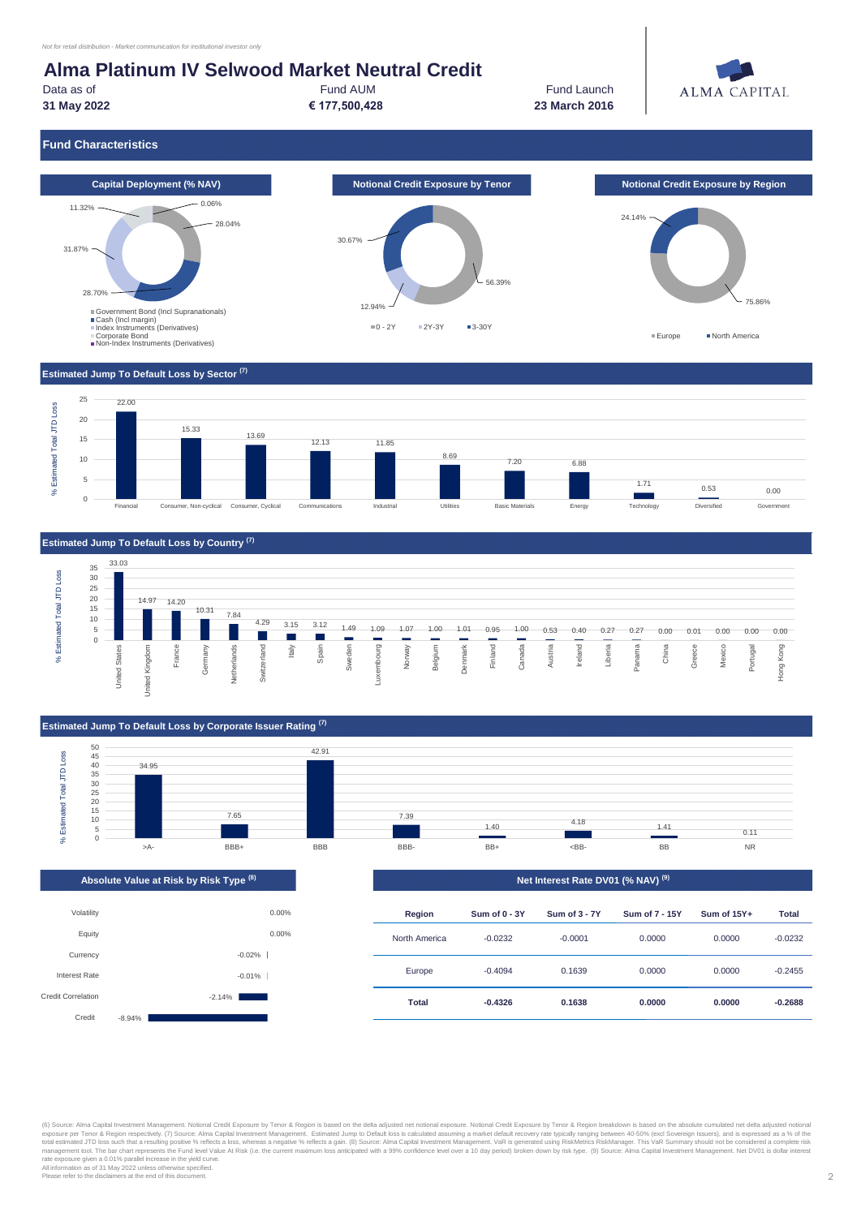# **Alma Platinum IV Selwood Market Neutral Credit**

Fund AUM **Fund Launch 23 March 2016**



Data as of

**31 May 2022 € 177,500,428**

# **Fund Characteristics**



#### **Estimated Jump To Default Loss by Sector (7)**





#### **Estimated Jump To Default Loss by Corporate Issuer Rating (7)**



|  | Absolute Value at Risk by Risk Type <sup>(8) 1</sup> |  |
|--|------------------------------------------------------|--|
|  |                                                      |  |





(6) Source: Alma Capital Investment Management. Reliefation Cordinal Credit Exposure by Ten of & Region frespectively. (7) Source: Alma Capital Investment Management. Namagement. Its imated Jump to Default loss is calculat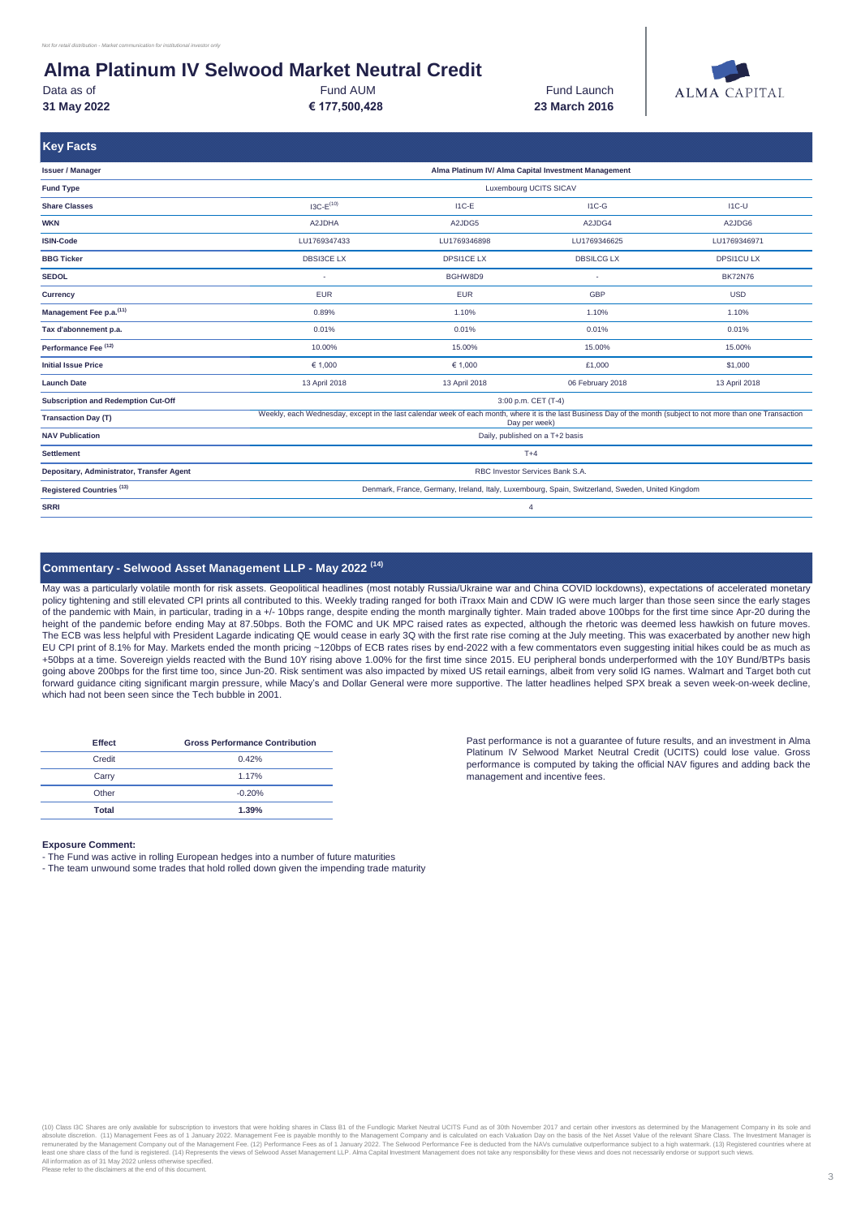# **Alma Platinum IV Selwood Market Neutral Credit**

**€ 177,500,428 31 May 2022 23 March 2016** Data as of **Fund AUM** 

Fund Launch



| <b>Key Facts</b>                           |                                                                                                                                                                                   |                                                                                                  |                   |                  |  |  |
|--------------------------------------------|-----------------------------------------------------------------------------------------------------------------------------------------------------------------------------------|--------------------------------------------------------------------------------------------------|-------------------|------------------|--|--|
| <b>Issuer / Manager</b>                    | Alma Platinum IV/ Alma Capital Investment Management                                                                                                                              |                                                                                                  |                   |                  |  |  |
| <b>Fund Type</b>                           | <b>Luxembourg UCITS SICAV</b>                                                                                                                                                     |                                                                                                  |                   |                  |  |  |
| <b>Share Classes</b>                       | $13C - E(10)$                                                                                                                                                                     | $11C-E$                                                                                          | $IC-G$            | $IC-U$           |  |  |
| <b>WKN</b>                                 | A2JDHA                                                                                                                                                                            | A2JDG5                                                                                           | A2JDG4            | A2JDG6           |  |  |
| <b>ISIN-Code</b>                           | LU1769347433                                                                                                                                                                      | LU1769346898                                                                                     | LU1769346625      | LU1769346971     |  |  |
| <b>BBG Ticker</b>                          | <b>DBSI3CE LX</b>                                                                                                                                                                 | <b>DPSI1CE LX</b>                                                                                | <b>DBSILCG LX</b> | <b>DPSI1CULX</b> |  |  |
| <b>SEDOL</b>                               | ٠                                                                                                                                                                                 | BGHW8D9                                                                                          | ٠                 | <b>BK72N76</b>   |  |  |
| <b>Currency</b>                            | <b>EUR</b>                                                                                                                                                                        | <b>EUR</b>                                                                                       | <b>GBP</b>        | <b>USD</b>       |  |  |
| Management Fee p.a. (11)                   | 0.89%                                                                                                                                                                             | 1.10%                                                                                            | 1.10%             | 1.10%            |  |  |
| Tax d'abonnement p.a.                      | 0.01%                                                                                                                                                                             | 0.01%                                                                                            | 0.01%             | 0.01%            |  |  |
| Performance Fee (12)                       | 10.00%                                                                                                                                                                            | 15.00%                                                                                           | 15.00%            | 15.00%           |  |  |
| <b>Initial Issue Price</b>                 | € 1,000                                                                                                                                                                           | € 1,000                                                                                          | £1,000            | \$1,000          |  |  |
| <b>Launch Date</b>                         | 13 April 2018<br>13 April 2018<br>13 April 2018<br>06 February 2018                                                                                                               |                                                                                                  |                   |                  |  |  |
| <b>Subscription and Redemption Cut-Off</b> | 3:00 p.m. CET (T-4)                                                                                                                                                               |                                                                                                  |                   |                  |  |  |
| <b>Transaction Day (T)</b>                 | Weekly, each Wednesday, except in the last calendar week of each month, where it is the last Business Day of the month (subject to not more than one Transaction<br>Day per week) |                                                                                                  |                   |                  |  |  |
| <b>NAV Publication</b>                     | Daily, published on a T+2 basis                                                                                                                                                   |                                                                                                  |                   |                  |  |  |
| <b>Settlement</b>                          | $T+4$                                                                                                                                                                             |                                                                                                  |                   |                  |  |  |
| Depositary, Administrator, Transfer Agent  |                                                                                                                                                                                   | RBC Investor Services Bank S.A.                                                                  |                   |                  |  |  |
| Registered Countries <sup>(13)</sup>       |                                                                                                                                                                                   | Denmark, France, Germany, Ireland, Italy, Luxembourg, Spain, Switzerland, Sweden, United Kingdom |                   |                  |  |  |
| <b>SRRI</b>                                |                                                                                                                                                                                   |                                                                                                  | $\overline{4}$    |                  |  |  |
|                                            |                                                                                                                                                                                   |                                                                                                  |                   |                  |  |  |

## **Commentary - Selwood Asset Management LLP - May 2022 (14)**

May was a particularly volatile month for risk assets. Geopolitical headlines (most notably Russia/Ukraine war and China COVID lockdowns), expectations of accelerated monetary policy tightening and still elevated CPI prints all contributed to this. Weekly trading ranged for both iTraxx Main and CDW IG were much larger than those seen since the early stages .<br>of the pandemic with Main, in particular, trading in a +/- 10bps range, despite ending the month marginally tighter. Main traded above 100bps for the first time since Apr-20 during the height of the pandemic before ending May at 87.50bps. Both the FOMC and UK MPC raised rates as expected, although the rhetoric was deemed less hawkish on future moves. The ECB was less helpful with President Lagarde indicating QE would cease in early 3Q with the first rate rise coming at the July meeting. This was exacerbated by another new high EU CPI print of 8.1% for May. Markets ended the month pricing ~120bps of ECB rates rises by end-2022 with a few commentators even suggesting initial hikes could be as much as +50bps at a time. Sovereign yields reacted with the Bund 10Y rising above 1.00% for the first time since 2015. EU peripheral bonds underperformed with the 10Y Bund/BTPs basis going above 200bps for the first time too, since Jun-20. Risk sentiment was also impacted by mixed US retail earnings, albeit from very solid IG names. Walmart and Target both cut forward guidance citing significant margin pressure, while Macy's and Dollar General were more supportive. The latter headlines helped SPX break a seven week-on-week decline, which had not been seen since the Tech bubble in 2001.

| <b>Effect</b> | <b>Gross Performance Contribution</b> |
|---------------|---------------------------------------|
| Credit        | 0.42%                                 |
| Carry         | 1.17%                                 |
| Other         | $-0.20%$                              |
| Total         | 1.39%                                 |

#### Past performance is not a guarantee of future results, and an investment in Alma Platinum IV Selwood Market Neutral Credit (UCITS) could lose value. Gross performance is computed by taking the official NAV figures and adding back the management and incentive fees.

#### **Exposure Comment:**

- The Fund was active in rolling European hedges into a number of future maturities

- The team unwound some trades that hold rolled down given the impending trade maturity

(10) Class I3C Shares are only available for subscription to investors that were holding shares in Class B1 of the Fundlogic Market Neutral UCITS Fund as of 30th November 2017 and certain other investors as determined by t